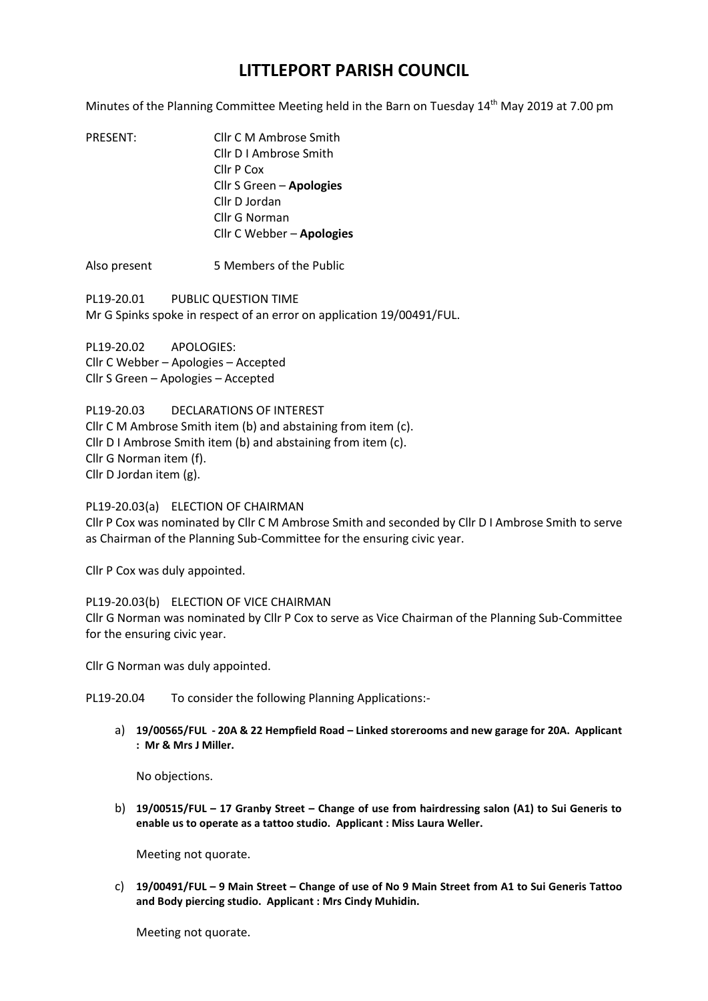## **LITTLEPORT PARISH COUNCIL**

Minutes of the Planning Committee Meeting held in the Barn on Tuesday 14<sup>th</sup> May 2019 at 7.00 pm

PRESENT: Cllr C M Ambrose Smith Cllr D I Ambrose Smith Cllr P Cox Cllr S Green – **Apologies** Cllr D Jordan Cllr G Norman Cllr C Webber – **Apologies** 

Also present 5 Members of the Public

PL19-20.01 PUBLIC QUESTION TIME Mr G Spinks spoke in respect of an error on application 19/00491/FUL.

PL19-20.02 APOLOGIES: Cllr C Webber – Apologies – Accepted Cllr S Green – Apologies – Accepted

PL19-20.03 DECLARATIONS OF INTEREST Cllr C M Ambrose Smith item (b) and abstaining from item (c). Cllr D I Ambrose Smith item (b) and abstaining from item (c). Cllr G Norman item (f). Cllr D Jordan item (g).

PL19-20.03(a) ELECTION OF CHAIRMAN Cllr P Cox was nominated by Cllr C M Ambrose Smith and seconded by Cllr D I Ambrose Smith to serve as Chairman of the Planning Sub-Committee for the ensuring civic year.

Cllr P Cox was duly appointed.

PL19-20.03(b) ELECTION OF VICE CHAIRMAN Cllr G Norman was nominated by Cllr P Cox to serve as Vice Chairman of the Planning Sub-Committee for the ensuring civic year.

Cllr G Norman was duly appointed.

PL19-20.04 To consider the following Planning Applications:-

a) **19/00565/FUL - 20A & 22 Hempfield Road – Linked storerooms and new garage for 20A. Applicant : Mr & Mrs J Miller.**

No objections.

b) **19/00515/FUL – 17 Granby Street – Change of use from hairdressing salon (A1) to Sui Generis to enable us to operate as a tattoo studio. Applicant : Miss Laura Weller.**

Meeting not quorate.

c) **19/00491/FUL – 9 Main Street – Change of use of No 9 Main Street from A1 to Sui Generis Tattoo and Body piercing studio. Applicant : Mrs Cindy Muhidin.**

Meeting not quorate.